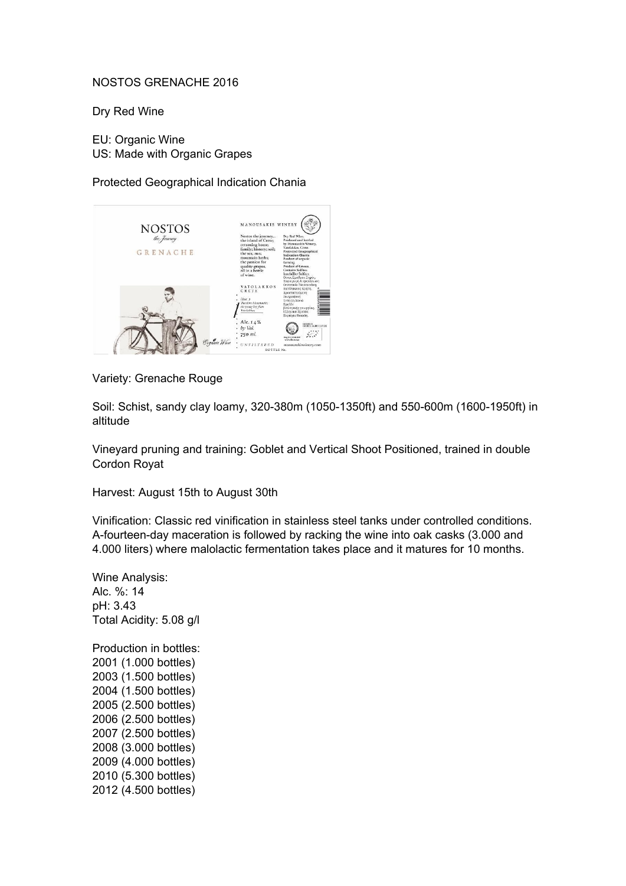## NOSTOS GRENACHE 2016

Dry Red Wine

EU: Organic Wine US: Made with Organic Grapes

Protected Geographical Indication Chania



Variety: Grenache Rouge

Soil: Schist, sandy clay loamy, 320-380m (1050-1350ft) and 550-600m (1600-1950ft) in altitude

Vineyard pruning and training: Goblet and Vertical Shoot Positioned, trained in double Cordon Royat

Harvest: August 15th to August 30th

Vinification: Classic red vinification in stainless steel tanks under controlled conditions. A-fourteen-day maceration is followed by racking the wine into oak casks (3.000 and 4.000 liters) where malolactic fermentation takes place and it matures for 10 months.

Wine Analysis: Alc. %: 14 pH: 3.43 Total Acidity: 5.08 g/l

Production in bottles: (1.000 bottles) (1.500 bottles) (1.500 bottles) (2.500 bottles) (2.500 bottles) (2.500 bottles) (3.000 bottles) (4.000 bottles) (5.300 bottles) (4.500 bottles)